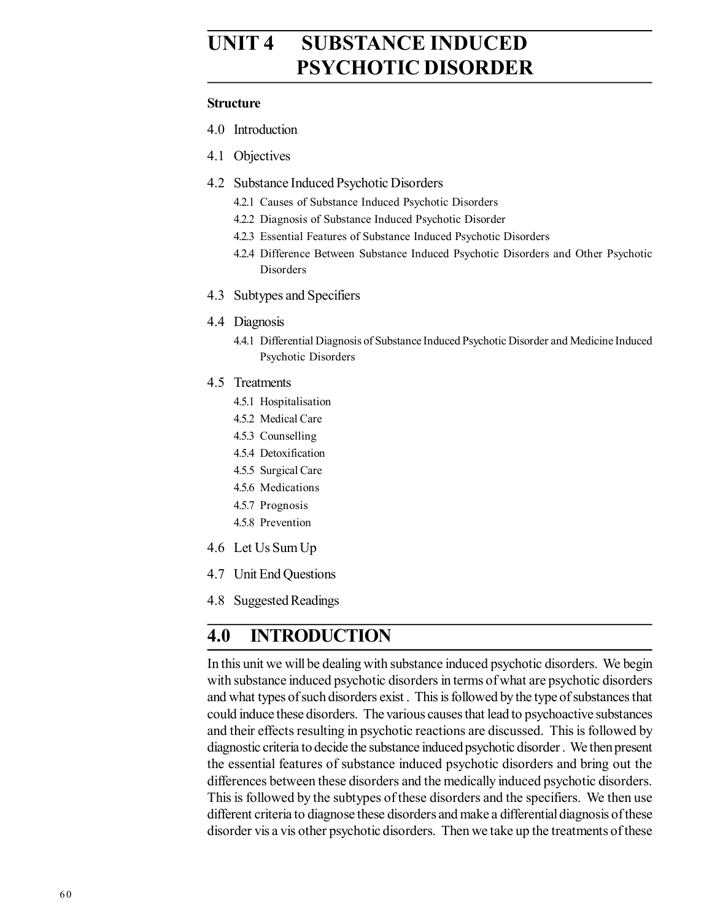# **UNIT 4 SUBSTANCE INDUCED PSYCHOTIC DISORDER**

#### **Structure**

- 4.0 Introduction
- 4.1 Objectives
- 4.2 Substance Induced Psychotic Disorders
	- 4.2.1 Causes of Substance Induced Psychotic Disorders
	- 4.2.2 Diagnosis of Substance Induced Psychotic Disorder
	- 4.2.3 Essential Features of Substance Induced Psychotic Disorders
	- 4.2.4 Difference Between Substance Induced Psychotic Disorders and Other Psychotic Disorders
- 4.3 Subtypes and Specifiers
- 4.4 Diagnosis
	- 4.4.1 Differential Diagnosis of Substance Induced Psychotic Disorder and Medicine Induced Psychotic Disorders
- 4.5 Treatments
	- 4.5.1 Hospitalisation
	- 4.5.2 Medical Care
	- 4.5.3 Counselling
	- 4.5.4 Detoxification
	- 4.5.5 Surgical Care
	- 4.5.6 Medications
	- 4.5.7 Prognosis
	- 4.5.8 Prevention
- 4.6 Let Us Sum Up
- 4.7 Unit End Questions
- 4.8 Suggested Readings

## **4.0 INTRODUCTION**

In this unit we will be dealing with substance induced psychotic disorders. We begin with substance induced psychotic disorders in terms of what are psychotic disorders and what types of such disorders exist . This is followed by the type of substances that could induce these disorders. The various causes that lead to psychoactive substances and their effects resulting in psychotic reactions are discussed. This is followed by diagnostic criteria to decide the substance induced psychotic disorder . We then present the essential features of substance induced psychotic disorders and bring out the differences between these disorders and the medically induced psychotic disorders. This is followed by the subtypes of these disorders and the specifiers. We then use different criteria to diagnose these disorders and make a differential diagnosis of these disorder vis a vis other psychotic disorders. Then we take up the treatments of these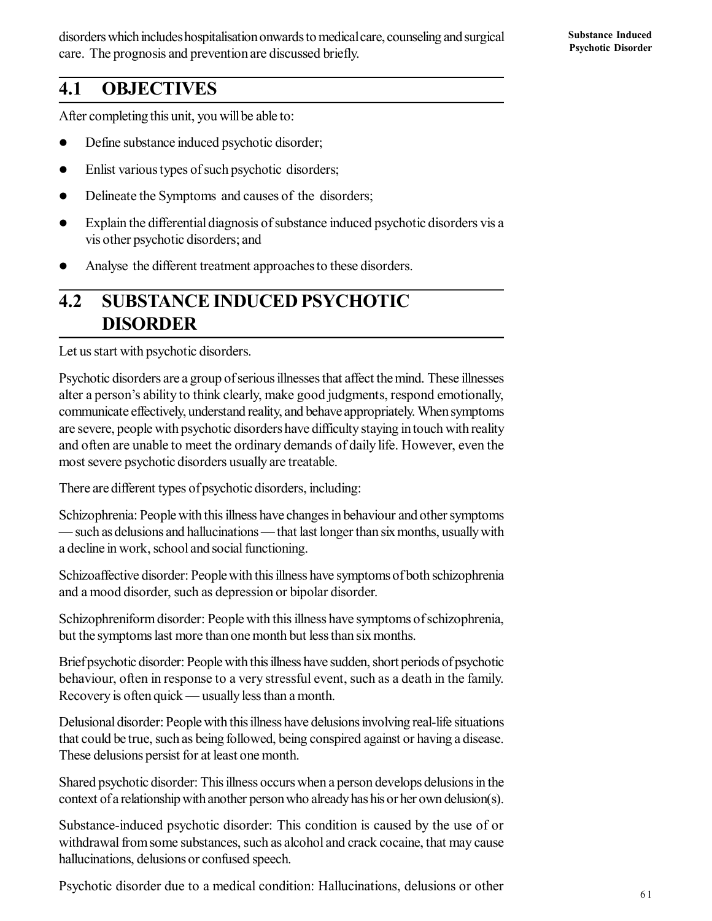### **4.1 OBJECTIVES**

After completing this unit, you will be able to:

- Define substance induced psychotic disorder;
- Enlist various types of such psychotic disorders;
- Delineate the Symptoms and causes of the disorders;
- Explain the differential diagnosis of substance induced psychotic disorders vis a vis other psychotic disorders; and
- Analyse the different treatment approaches to these disorders.

## **4.2 SUBSTANCE INDUCED PSYCHOTIC DISORDER**

Let us start with psychotic disorders.

Psychotic disorders are a group of serious illnesses that affect the mind. These illnesses alter a person's ability to think clearly, make good judgments, respond emotionally, communicate effectively, understand reality, and behave appropriately. When symptoms are severe, people with psychotic disorders have difficulty staying in touch with reality and often are unable to meet the ordinary demands of daily life. However, even the most severe psychotic disorders usually are treatable.

There are different types of psychotic disorders, including:

Schizophrenia: People with this illness have changes in behaviour and other symptoms — such as delusions and hallucinations — that last longer than six months, usually with a decline in work, school and social functioning.

Schizoaffective disorder: People with this illness have symptoms of both schizophrenia and a mood disorder, such as depression or bipolar disorder.

Schizophreniform disorder: People with this illness have symptoms of schizophrenia, but the symptoms last more than one month but less than six months.

Brief psychotic disorder: People with this illness have sudden, short periods of psychotic behaviour, often in response to a very stressful event, such as a death in the family. Recovery is often quick — usually less than a month.

Delusional disorder: People with this illness have delusions involving real-life situations that could be true, such as being followed, being conspired against or having a disease. These delusions persist for at least one month.

Shared psychotic disorder: This illness occurs when a person develops delusions in the context of a relationship with another person who already has his or her own delusion(s).

Substance-induced psychotic disorder: This condition is caused by the use of or withdrawal from some substances, such as alcohol and crack cocaine, that may cause hallucinations, delusions or confused speech.

Psychotic disorder due to a medical condition: Hallucinations, delusions or other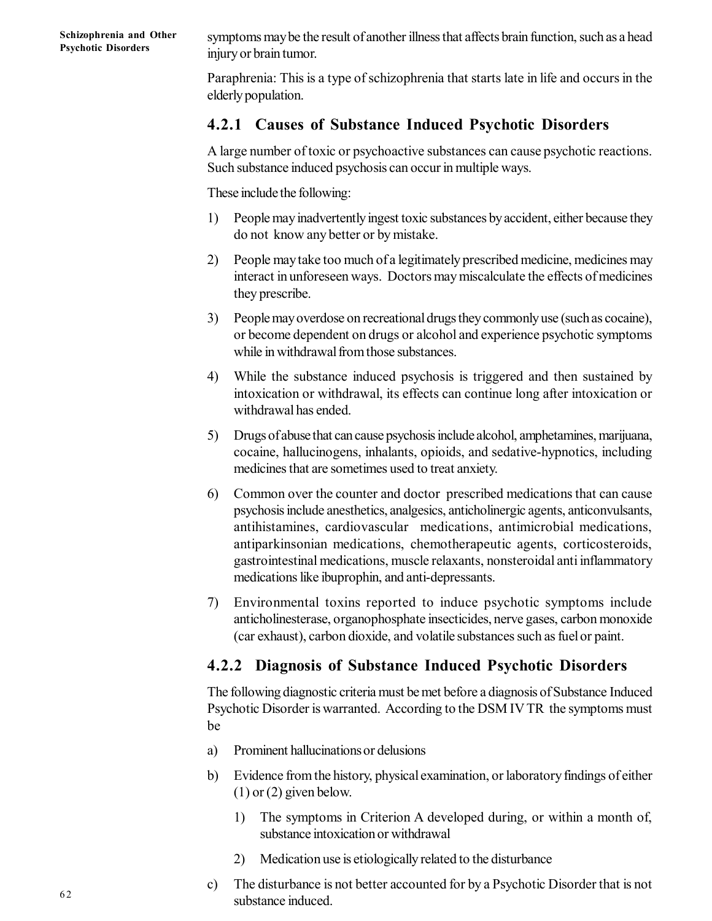symptoms may be the result of another illness that affects brain function, such as a head injury or brain tumor.

Paraphrenia: This is a type of schizophrenia that starts late in life and occurs in the elderly population.

#### **4.2.1 Causes of Substance Induced Psychotic Disorders**

A large number of toxic or psychoactive substances can cause psychotic reactions. Such substance induced psychosis can occur in multiple ways.

These include the following:

- 1) People may inadvertently ingest toxic substances by accident, either because they do not know any better or by mistake.
- 2) People may take too much of a legitimately prescribed medicine, medicines may interact in unforeseen ways. Doctors may miscalculate the effects of medicines they prescribe.
- 3) People may overdose on recreational drugs they commonly use (such as cocaine), or become dependent on drugs or alcohol and experience psychotic symptoms while in withdrawal from those substances.
- 4) While the substance induced psychosis is triggered and then sustained by intoxication or withdrawal, its effects can continue long after intoxication or withdrawal has ended.
- 5) Drugs of abuse that can cause psychosis include alcohol, amphetamines, marijuana, cocaine, hallucinogens, inhalants, opioids, and sedative-hypnotics, including medicines that are sometimes used to treat anxiety.
- 6) Common over the counter and doctor prescribed medications that can cause psychosis include anesthetics, analgesics, anticholinergic agents, anticonvulsants, antihistamines, cardiovascular medications, antimicrobial medications, antiparkinsonian medications, chemotherapeutic agents, corticosteroids, gastrointestinal medications, muscle relaxants, nonsteroidal anti inflammatory medications like ibuprophin, and anti-depressants.
- 7) Environmental toxins reported to induce psychotic symptoms include anticholinesterase, organophosphate insecticides, nerve gases, carbon monoxide (car exhaust), carbon dioxide, and volatile substances such as fuel or paint.

#### **4.2.2 Diagnosis of Substance Induced Psychotic Disorders**

The following diagnostic criteria must be met before a diagnosis of Substance Induced Psychotic Disorder is warranted. According to the DSM IV TR the symptoms must be

- a) Prominent hallucinations or delusions
- b) Evidence from the history, physical examination, or laboratory findings of either  $(1)$  or  $(2)$  given below.
	- 1) The symptoms in Criterion A developed during, or within a month of, substance intoxication or withdrawal
	- 2) Medication use is etiologically related to the disturbance
- c) The disturbance is not better accounted for by a Psychotic Disorder that is not substance induced.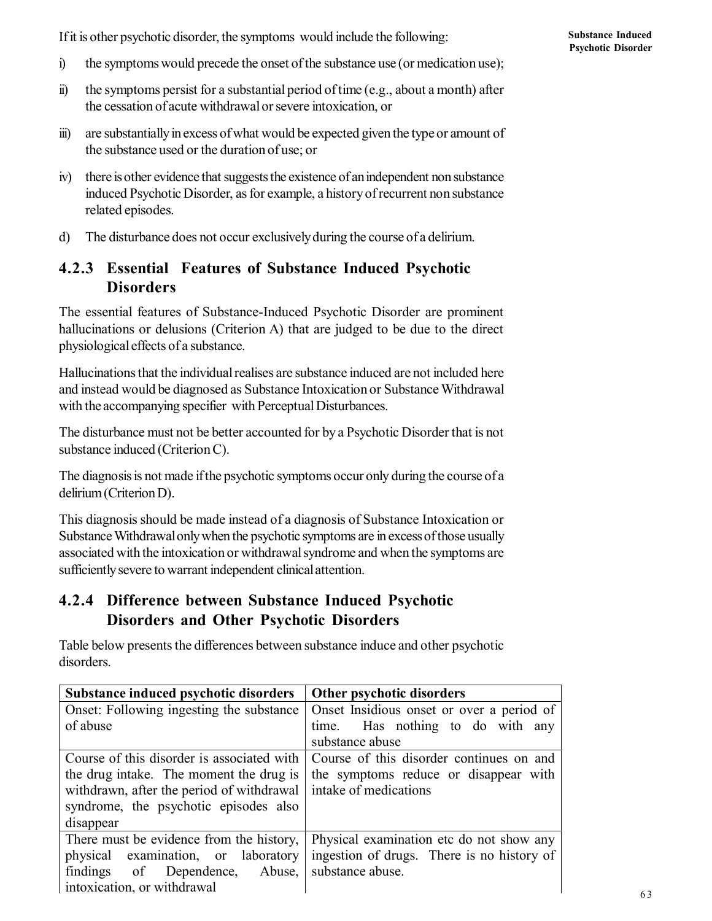If it is other psychotic disorder, the symptoms would include the following:

- i) the symptoms would precede the onset of the substance use (or medication use);
- ii) the symptoms persist for a substantial period of time (e.g., about a month) after the cessation of acute withdrawal or severe intoxication, or
- iii) are substantially in excess of what would be expected given the type or amount of the substance used or the duration of use; or
- iv) there is other evidence that suggests the existence of an independent non substance induced Psychotic Disorder, as for example, a history of recurrent non substance related episodes.
- d) The disturbance does not occur exclusively during the course of a delirium.

### **4.2.3 Essential Features of Substance Induced Psychotic Disorders**

The essential features of Substance-Induced Psychotic Disorder are prominent hallucinations or delusions (Criterion A) that are judged to be due to the direct physiological effects of a substance.

Hallucinations that the individual realises are substance induced are not included here and instead would be diagnosed as Substance Intoxication or Substance Withdrawal with the accompanying specifier with Perceptual Disturbances.

The disturbance must not be better accounted for by a Psychotic Disorder that is not substance induced (Criterion C).

The diagnosis is not made if the psychotic symptoms occur only during the course of a delirium (Criterion D).

This diagnosis should be made instead of a diagnosis of Substance Intoxication or Substance Withdrawal only when the psychotic symptoms are in excess of those usually associated with the intoxication or withdrawal syndrome and when the symptoms are sufficiently severe to warrant independent clinical attention.

#### **4.2.4 Difference between Substance Induced Psychotic Disorders and Other Psychotic Disorders**

Table below presents the differences between substance induce and other psychotic disorders.

| <b>Substance induced psychotic disorders</b> | Other psychotic disorders                  |
|----------------------------------------------|--------------------------------------------|
| Onset: Following ingesting the substance     | Onset Insidious onset or over a period of  |
| of abuse                                     | time. Has nothing to do with any           |
|                                              | substance abuse                            |
| Course of this disorder is associated with   | Course of this disorder continues on and   |
| the drug intake. The moment the drug is      | the symptoms reduce or disappear with      |
| withdrawn, after the period of withdrawal    | intake of medications                      |
| syndrome, the psychotic episodes also        |                                            |
| disappear                                    |                                            |
| There must be evidence from the history,     | Physical examination etc do not show any   |
| physical examination, or laboratory          | ingestion of drugs. There is no history of |
| findings of Dependence, Abuse,               | substance abuse.                           |
| intoxication, or withdrawal                  |                                            |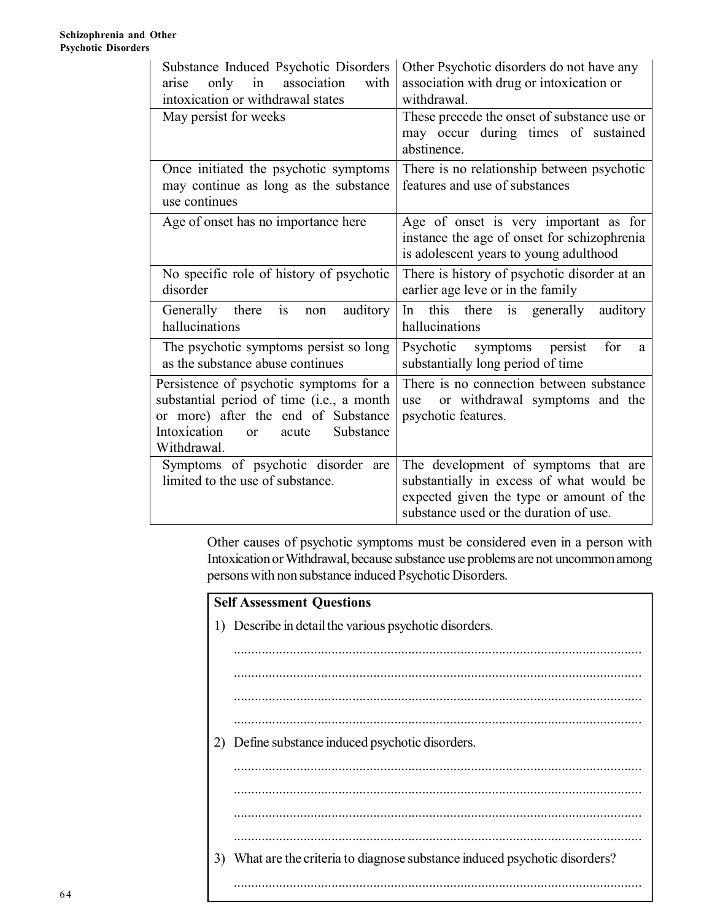| Substance Induced Psychotic Disorders<br>association<br>with<br>only<br>in<br>arise<br>intoxication or withdrawal states                                                                          | Other Psychotic disorders do not have any<br>association with drug or intoxication or<br>withdrawal.                                                                   |
|---------------------------------------------------------------------------------------------------------------------------------------------------------------------------------------------------|------------------------------------------------------------------------------------------------------------------------------------------------------------------------|
| May persist for weeks                                                                                                                                                                             | These precede the onset of substance use or<br>may occur during times of sustained<br>abstinence.                                                                      |
| Once initiated the psychotic symptoms<br>may continue as long as the substance<br>use continues                                                                                                   | There is no relationship between psychotic<br>features and use of substances                                                                                           |
| Age of onset has no importance here                                                                                                                                                               | Age of onset is very important as for<br>instance the age of onset for schizophrenia<br>is adolescent years to young adulthood                                         |
| No specific role of history of psychotic<br>disorder                                                                                                                                              | There is history of psychotic disorder at an<br>earlier age leve or in the family                                                                                      |
| is<br>auditory<br>Generally there<br>non<br>hallucinations                                                                                                                                        | this there<br>is<br>In<br>generally<br>auditory<br>hallucinations                                                                                                      |
| The psychotic symptoms persist so long<br>as the substance abuse continues                                                                                                                        | Psychotic symptoms persist<br>for<br>a<br>substantially long period of time                                                                                            |
| Persistence of psychotic symptoms for a<br>substantial period of time (i.e., a month<br>or more) after the end of Substance<br>Intoxication<br>Substance<br>acute<br><sub>or</sub><br>Withdrawal. | There is no connection between substance<br>or withdrawal symptoms and the<br>use<br>psychotic features.                                                               |
| Symptoms of psychotic disorder are<br>limited to the use of substance.                                                                                                                            | The development of symptoms that are<br>substantially in excess of what would be<br>expected given the type or amount of the<br>substance used or the duration of use. |

Other causes of psychotic symptoms must be considered even in a person with Intoxication or Withdrawal, because substance use problems are not uncommon among persons with non substance induced Psychotic Disorders.

| <b>Self Assessment Questions</b> |                                                                          |  |
|----------------------------------|--------------------------------------------------------------------------|--|
| 1)                               | Describe in detail the various psychotic disorders.                      |  |
|                                  |                                                                          |  |
|                                  |                                                                          |  |
|                                  |                                                                          |  |
|                                  |                                                                          |  |
| 2)                               | Define substance induced psychotic disorders.                            |  |
|                                  |                                                                          |  |
|                                  |                                                                          |  |
|                                  |                                                                          |  |
|                                  |                                                                          |  |
| 3)                               | What are the criteria to diagnose substance induced psychotic disorders? |  |
|                                  |                                                                          |  |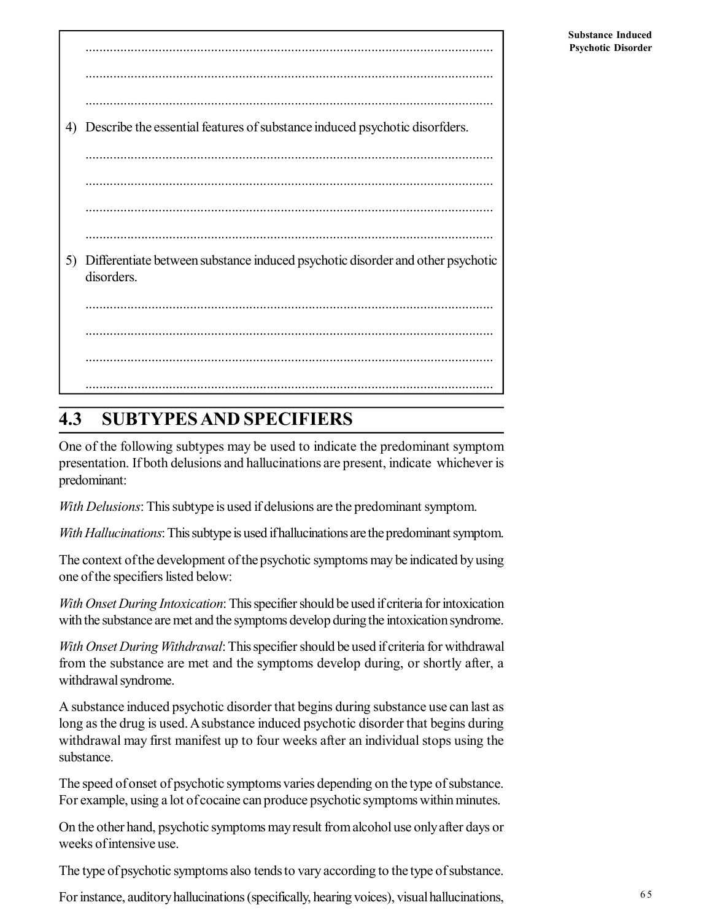..................................................................................................................... ..................................................................................................................... ..................................................................................................................... 4) Describe the essential features of substance induced psychotic disorfders. ..................................................................................................................... ..................................................................................................................... ..................................................................................................................... ..................................................................................................................... 5) Differentiate between substance induced psychotic disorder and other psychotic disorders. ..................................................................................................................... ..................................................................................................................... ..................................................................................................................... .....................................................................................................................

## **4.3 SUBTYPES AND SPECIFIERS**

One of the following subtypes may be used to indicate the predominant symptom presentation. If both delusions and hallucinations are present, indicate whichever is predominant:

*With Delusions*: This subtype is used if delusions are the predominant symptom.

*With Hallucinations*: This subtype is used if hallucinations are the predominant symptom.

The context of the development of the psychotic symptoms may be indicated by using one of the specifiers listed below:

*With Onset During Intoxication*: This specifier should be used if criteria for intoxication with the substance are met and the symptoms develop during the intoxication syndrome.

*With Onset During Withdrawal*: This specifier should be used if criteria for withdrawal from the substance are met and the symptoms develop during, or shortly after, a withdrawal syndrome.

A substance induced psychotic disorder that begins during substance use can last as long as the drug is used. A substance induced psychotic disorder that begins during withdrawal may first manifest up to four weeks after an individual stops using the substance.

The speed of onset of psychotic symptoms varies depending on the type of substance. For example, using a lot of cocaine can produce psychotic symptoms within minutes.

On the other hand, psychotic symptoms may result from alcohol use only after days or weeks of intensive use.

The type of psychotic symptoms also tends to vary according to the type of substance.

For instance, auditory hallucinations (specifically, hearing voices), visual hallucinations,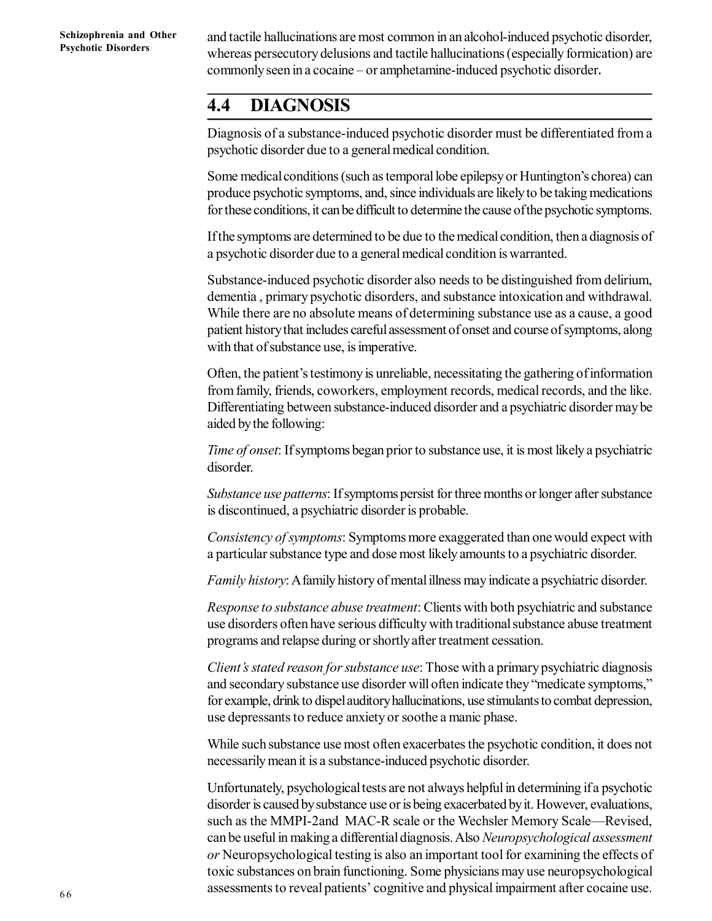and tactile hallucinations are most common in an alcohol-induced psychotic disorder, whereas persecutory delusions and tactile hallucinations (especially formication) are commonly seen in a cocaine – or amphetamine-induced psychotic disorder.

### **4.4 DIAGNOSIS**

Diagnosis of a substance-induced psychotic disorder must be differentiated from a psychotic disorder due to a general medical condition.

Some medical conditions (such as temporal lobe epilepsy or Huntington's chorea) can produce psychotic symptoms, and, since individuals are likely to be taking medications for these conditions, it can be difficult to determine the cause of the psychotic symptoms.

If the symptoms are determined to be due to the medical condition, then a diagnosis of a psychotic disorder due to a general medical condition is warranted.

Substance-induced psychotic disorder also needs to be distinguished from delirium, dementia , primary psychotic disorders, and substance intoxication and withdrawal. While there are no absolute means of determining substance use as a cause, a good patient history that includes careful assessment of onset and course of symptoms, along with that of substance use, is imperative.

Often, the patient's testimony is unreliable, necessitating the gathering of information from family, friends, coworkers, employment records, medical records, and the like. Differentiating between substance-induced disorder and a psychiatric disorder may be aided by the following:

*Time of onset*: If symptoms began prior to substance use, it is most likely a psychiatric disorder.

*Substance use patterns*: If symptoms persist for three months or longer after substance is discontinued, a psychiatric disorder is probable.

*Consistency of symptoms*: Symptoms more exaggerated than one would expect with a particular substance type and dose most likely amounts to a psychiatric disorder.

*Family history*: A family history of mental illness may indicate a psychiatric disorder.

*Response to substance abuse treatment*: Clients with both psychiatric and substance use disorders often have serious difficulty with traditional substance abuse treatment programs and relapse during or shortly after treatment cessation.

*Client's stated reason for substance use*: Those with a primary psychiatric diagnosis and secondary substance use disorder will often indicate they "medicate symptoms," for example, drink to dispel auditory hallucinations, use stimulants to combat depression, use depressants to reduce anxiety or soothe a manic phase.

While such substance use most often exacerbates the psychotic condition, it does not necessarily mean it is a substance-induced psychotic disorder.

Unfortunately, psychological tests are not always helpful in determining if a psychotic disorder is caused by substance use or is being exacerbated by it. However, evaluations, such as the MMPI-2and MAC-R scale or the Wechsler Memory Scale—Revised, can be useful in making a differential diagnosis. Also *Neuropsychological assessment or* Neuropsychological testing is also an important tool for examining the effects of toxic substances on brain functioning. Some physicians may use neuropsychological assessments to reveal patients' cognitive and physical impairment after cocaine use.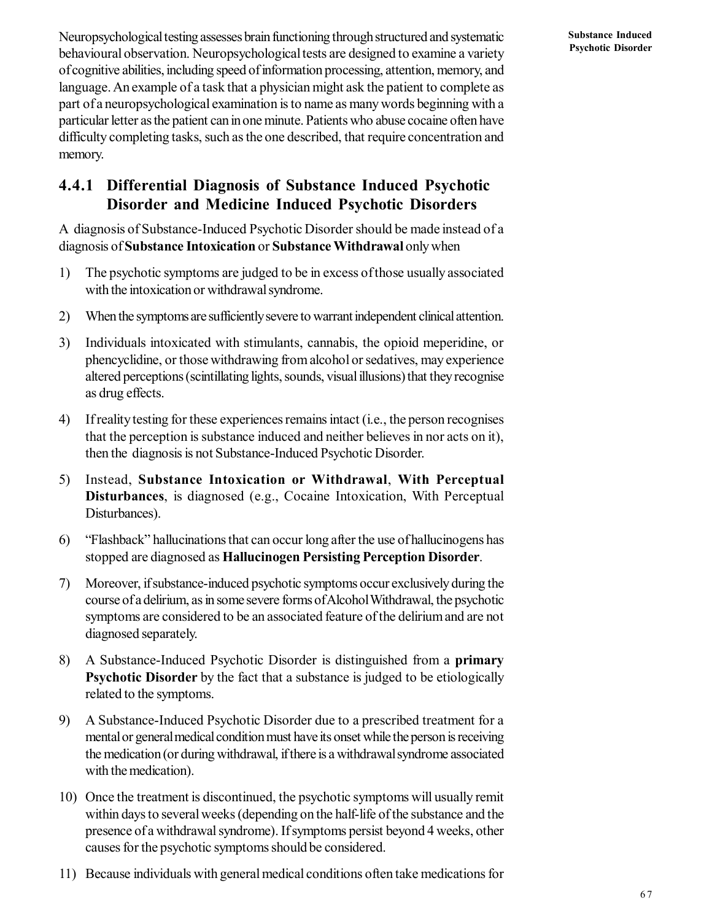Neuropsychological testing assesses brain functioning through structured and systematic behavioural observation. Neuropsychological tests are designed to examine a variety of cognitive abilities, including speed of information processing, attention, memory, and language. An example of a task that a physician might ask the patient to complete as part of a neuropsychological examination is to name as many words beginning with a particular letter as the patient can in one minute. Patients who abuse cocaine often have difficulty completing tasks, such as the one described, that require concentration and memory.

### **4.4.1 Differential Diagnosis of Substance Induced Psychotic Disorder and Medicine Induced Psychotic Disorders**

A diagnosis of Substance-Induced Psychotic Disorder should be made instead of a diagnosis of **Substance Intoxication** or **Substance Withdrawal** only when

- 1) The psychotic symptoms are judged to be in excess of those usually associated with the intoxication or withdrawal syndrome.
- 2) When the symptoms are sufficiently severe to warrant independent clinical attention.
- 3) Individuals intoxicated with stimulants, cannabis, the opioid meperidine, or phencyclidine, or those withdrawing from alcohol or sedatives, may experience altered perceptions (scintillating lights, sounds, visual illusions) that they recognise as drug effects.
- 4) If reality testing for these experiences remains intact (i.e., the person recognises that the perception is substance induced and neither believes in nor acts on it), then the diagnosis is not Substance-Induced Psychotic Disorder.
- 5) Instead, **Substance Intoxication or Withdrawal**, **With Perceptual Disturbances**, is diagnosed (e.g., Cocaine Intoxication, With Perceptual Disturbances).
- 6) "Flashback" hallucinations that can occur long after the use of hallucinogens has stopped are diagnosed as **Hallucinogen Persisting Perception Disorder**.
- 7) Moreover, if substance-induced psychotic symptoms occur exclusively during the course of a delirium, as in some severe forms of Alcohol Withdrawal, the psychotic symptoms are considered to be an associated feature of the delirium and are not diagnosed separately.
- 8) A Substance-Induced Psychotic Disorder is distinguished from a **primary Psychotic Disorder** by the fact that a substance is judged to be etiologically related to the symptoms.
- 9) A Substance-Induced Psychotic Disorder due to a prescribed treatment for a mental or general medical condition must have its onset while the person is receiving the medication (or during withdrawal, if there is a withdrawal syndrome associated with the medication).
- 10) Once the treatment is discontinued, the psychotic symptoms will usually remit within days to several weeks (depending on the half-life of the substance and the presence of a withdrawal syndrome). If symptoms persist beyond 4 weeks, other causes for the psychotic symptoms should be considered.
- 11) Because individuals with general medical conditions often take medications for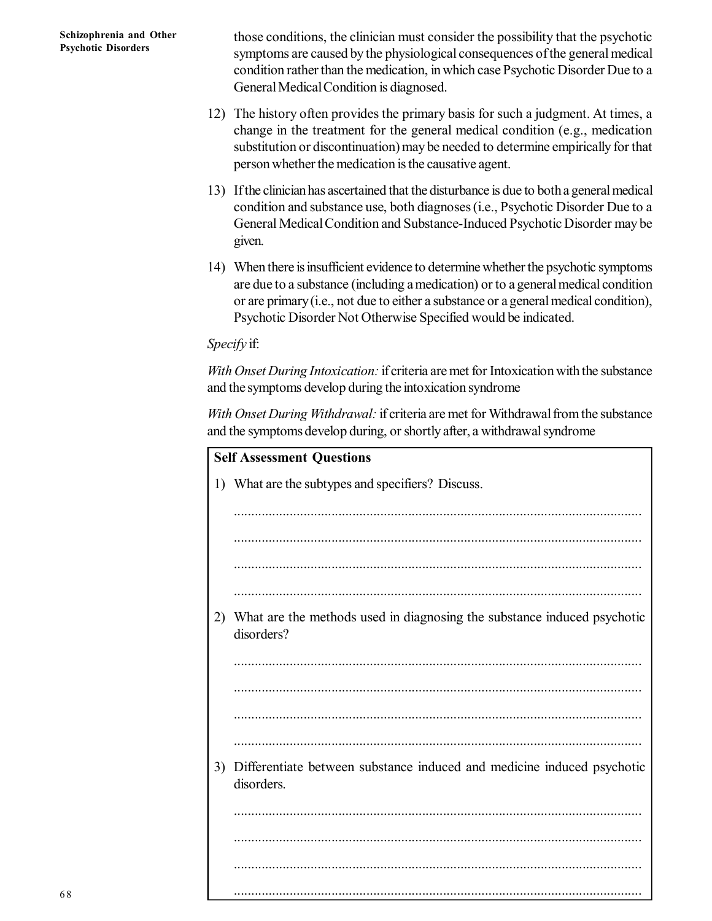those conditions, the clinician must consider the possibility that the psychotic symptoms are caused by the physiological consequences of the general medical condition rather than the medication, in which case Psychotic Disorder Due to a General Medical Condition is diagnosed.

- 12) The history often provides the primary basis for such a judgment. At times, a change in the treatment for the general medical condition (e.g., medication substitution or discontinuation) may be needed to determine empirically for that person whether the medication is the causative agent.
- 13) If the clinician has ascertained that the disturbance is due to both a general medical condition and substance use, both diagnoses (i.e., Psychotic Disorder Due to a General Medical Condition and Substance-Induced Psychotic Disorder may be given.
- 14) When there is insufficient evidence to determine whether the psychotic symptoms are due to a substance (including a medication) or to a general medical condition or are primary (i.e., not due to either a substance or a general medical condition), Psychotic Disorder Not Otherwise Specified would be indicated.

*Specify* if:

*With Onset During Intoxication:* if criteria are met for Intoxication with the substance and the symptoms develop during the intoxication syndrome

*With Onset During Withdrawal:* if criteria are met for Withdrawal from the substance and the symptoms develop during, or shortly after, a withdrawal syndrome

| <b>Self Assessment Questions</b> |                                                                         |  |
|----------------------------------|-------------------------------------------------------------------------|--|
|                                  | 1) What are the subtypes and specifiers? Discuss.                       |  |
|                                  |                                                                         |  |
|                                  |                                                                         |  |
|                                  |                                                                         |  |
|                                  |                                                                         |  |
|                                  |                                                                         |  |
| 2)                               | What are the methods used in diagnosing the substance induced psychotic |  |
|                                  | disorders?                                                              |  |
|                                  |                                                                         |  |
|                                  |                                                                         |  |
|                                  |                                                                         |  |
|                                  |                                                                         |  |
|                                  |                                                                         |  |
| 3)                               | Differentiate between substance induced and medicine induced psychotic  |  |
|                                  | disorders.                                                              |  |
|                                  |                                                                         |  |
|                                  |                                                                         |  |
|                                  |                                                                         |  |
|                                  |                                                                         |  |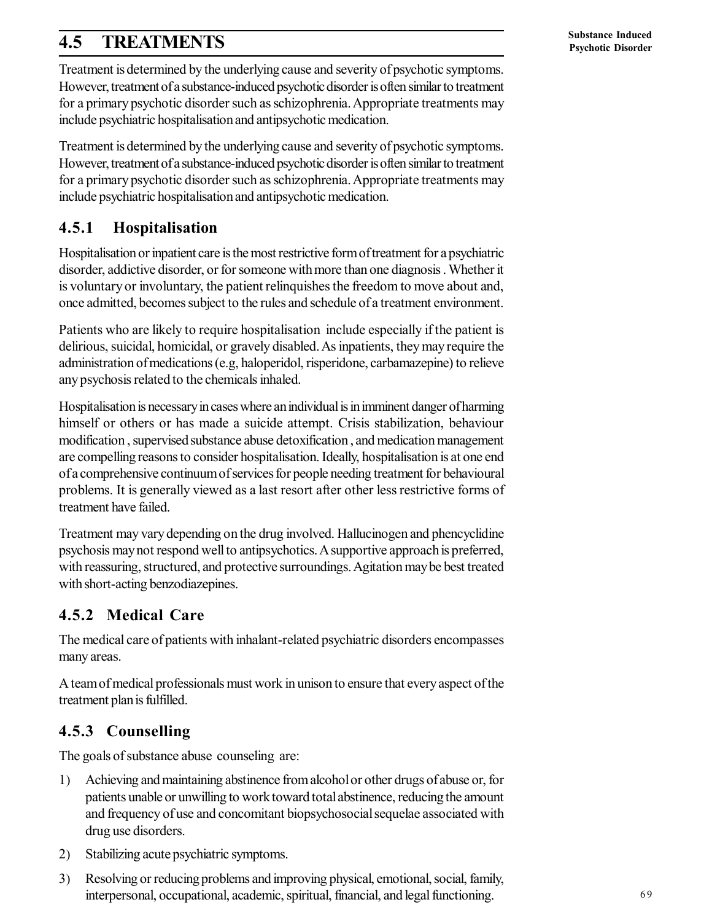## **4.5 TREATMENTS**

Treatment is determined by the underlying cause and severity of psychotic symptoms. However, treatment of a substance-induced psychotic disorder is often similar to treatment for a primary psychotic disorder such as schizophrenia. Appropriate treatments may include psychiatric hospitalisation and antipsychotic medication.

Treatment is determined by the underlying cause and severity of psychotic symptoms. However, treatment of a substance-induced psychotic disorder is often similar to treatment for a primary psychotic disorder such as schizophrenia. Appropriate treatments may include psychiatric hospitalisation and antipsychotic medication.

#### **4.5.1 Hospitalisation**

Hospitalisation or inpatient care is the most restrictive form of treatment for a psychiatric disorder, addictive disorder, or for someone with more than one diagnosis . Whether it is voluntary or involuntary, the patient relinquishes the freedom to move about and, once admitted, becomes subject to the rules and schedule of a treatment environment.

Patients who are likely to require hospitalisation include especially if the patient is delirious, suicidal, homicidal, or gravely disabled. As inpatients, they may require the administration of medications (e.g, haloperidol, risperidone, carbamazepine) to relieve any psychosis related to the chemicals inhaled.

Hospitalisation is necessary in cases where an individual is in imminent danger of harming himself or others or has made a suicide attempt. Crisis stabilization, behaviour modification , supervised substance abuse detoxification , and medication management are compelling reasons to consider hospitalisation. Ideally, hospitalisation is at one end of a comprehensive continuum of services for people needing treatment for behavioural problems. It is generally viewed as a last resort after other less restrictive forms of treatment have failed.

Treatment may vary depending on the drug involved. Hallucinogen and phencyclidine psychosis may not respond well to antipsychotics. A supportive approach is preferred, with reassuring, structured, and protective surroundings. Agitation may be best treated with short-acting benzodiazepines.

#### **4.5.2 Medical Care**

The medical care of patients with inhalant-related psychiatric disorders encompasses many areas.

A team of medical professionals must work in unison to ensure that every aspect of the treatment plan is fulfilled.

### **4.5.3 Counselling**

The goals of substance abuse counseling are:

- 1) Achieving and maintaining abstinence from alcohol or other drugs of abuse or, for patients unable or unwilling to work toward total abstinence, reducing the amount and frequency of use and concomitant biopsychosocial sequelae associated with drug use disorders.
- 2) Stabilizing acute psychiatric symptoms.
- 3) Resolving or reducing problems and improving physical, emotional, social, family, interpersonal, occupational, academic, spiritual, financial, and legal functioning.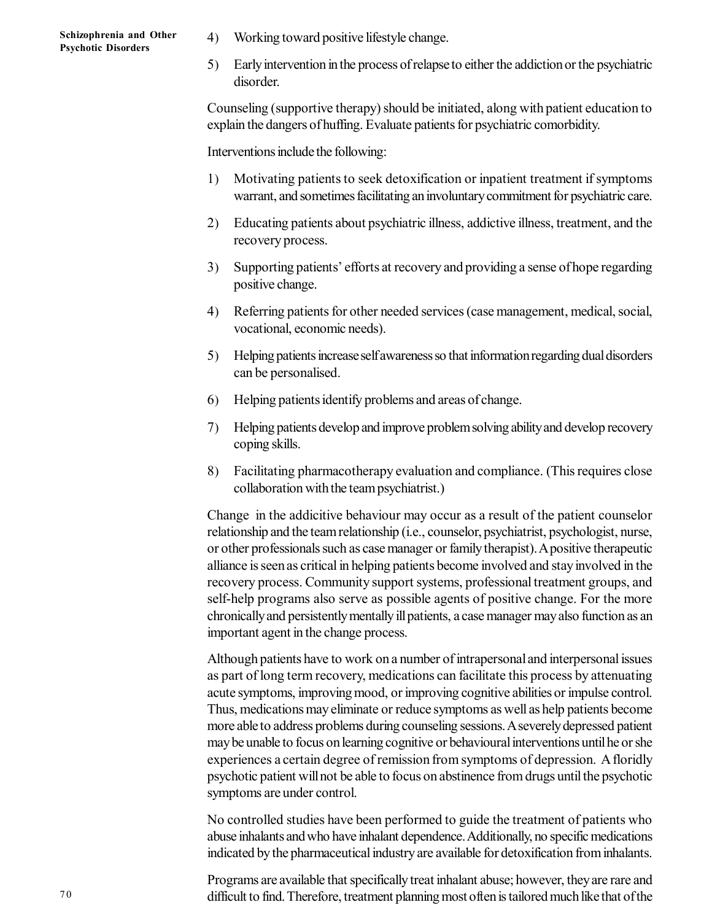- 4) Working toward positive lifestyle change.
- 5) Early intervention in the process of relapse to either the addiction or the psychiatric disorder.

Counseling (supportive therapy) should be initiated, along with patient education to explain the dangers of huffing. Evaluate patients for psychiatric comorbidity.

Interventions include the following:

- 1) Motivating patients to seek detoxification or inpatient treatment if symptoms warrant, and sometimes facilitating an involuntary commitment for psychiatric care.
- 2) Educating patients about psychiatric illness, addictive illness, treatment, and the recovery process.
- 3) Supporting patients' efforts at recovery and providing a sense of hope regarding positive change.
- 4) Referring patients for other needed services (case management, medical, social, vocational, economic needs).
- 5) Helping patients increase self awareness so that information regarding dual disorders can be personalised.
- 6) Helping patients identify problems and areas of change.
- 7) Helping patients develop and improve problem solving ability and develop recovery coping skills.
- 8) Facilitating pharmacotherapy evaluation and compliance. (This requires close collaboration with the team psychiatrist.)

Change in the addicitive behaviour may occur as a result of the patient counselor relationship and the team relationship (i.e., counselor, psychiatrist, psychologist, nurse, or other professionals such as case manager or family therapist). A positive therapeutic alliance is seen as critical in helping patients become involved and stay involved in the recovery process. Community support systems, professional treatment groups, and self-help programs also serve as possible agents of positive change. For the more chronically and persistently mentally ill patients, a case manager may also function as an important agent in the change process.

Although patients have to work on a number of intrapersonal and interpersonal issues as part of long term recovery, medications can facilitate this process by attenuating acute symptoms, improving mood, or improving cognitive abilities or impulse control. Thus, medications may eliminate or reduce symptoms as well as help patients become more able to address problems during counseling sessions. A severely depressed patient may be unable to focus on learning cognitive or behavioural interventions until he or she experiences a certain degree of remission from symptoms of depression. A floridly psychotic patient will not be able to focus on abstinence from drugs until the psychotic symptoms are under control.

No controlled studies have been performed to guide the treatment of patients who abuse inhalants and who have inhalant dependence. Additionally, no specific medications indicated by the pharmaceutical industry are available for detoxification from inhalants.

Programs are available that specifically treat inhalant abuse; however, they are rare and difficult to find. Therefore, treatment planning most often is tailored much like that of the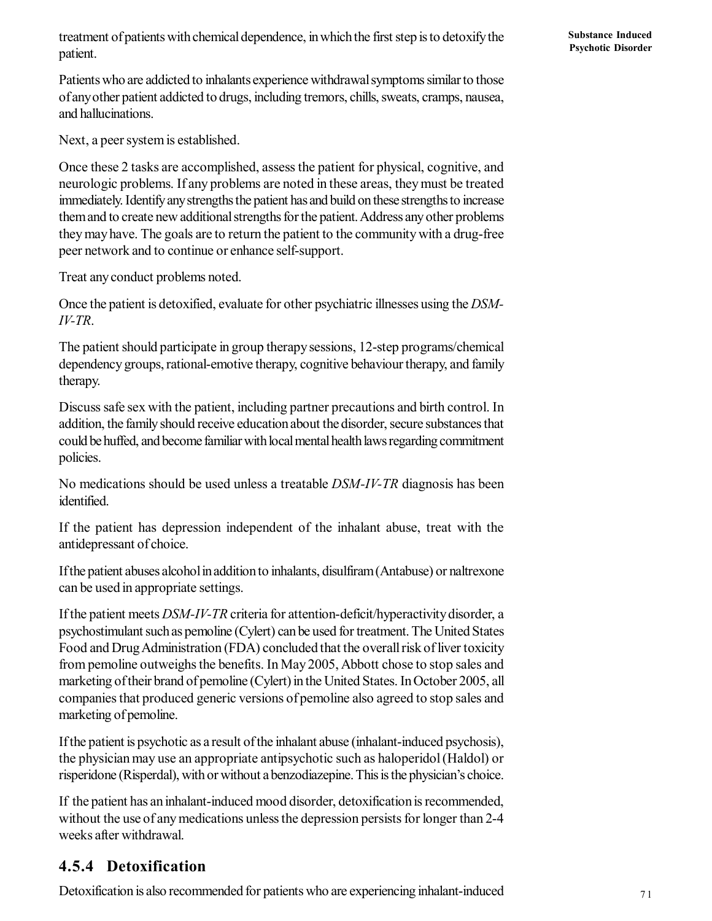**Substance Induced Psychotic Disorder**

Patients who are addicted to inhalants experience withdrawal symptoms similar to those of any other patient addicted to drugs, including tremors, chills, sweats, cramps, nausea, and hallucinations.

Next, a peer system is established.

Once these 2 tasks are accomplished, assess the patient for physical, cognitive, and neurologic problems. If any problems are noted in these areas, they must be treated immediately. Identify any strengths the patient has and build on these strengths to increase them and to create new additional strengths for the patient. Address any other problems they may have. The goals are to return the patient to the community with a drug-free peer network and to continue or enhance self-support.

Treat any conduct problems noted.

Once the patient is detoxified, evaluate for other psychiatric illnesses using the *DSM-IV-TR*.

The patient should participate in group therapy sessions, 12-step programs/chemical dependency groups, rational-emotive therapy, cognitive behaviour therapy, and family therapy.

Discuss safe sex with the patient, including partner precautions and birth control. In addition, the family should receive education about the disorder, secure substances that could be huffed, and become familiar with local mental health laws regarding commitment policies.

No medications should be used unless a treatable *DSM-IV-TR* diagnosis has been identified.

If the patient has depression independent of the inhalant abuse, treat with the antidepressant of choice.

If the patient abuses alcohol in addition to inhalants, disulfiram (Antabuse) or naltrexone can be used in appropriate settings.

If the patient meets *DSM-IV-TR* criteria for attention-deficit/hyperactivity disorder, a psychostimulant such as pemoline (Cylert) can be used for treatment. The United States Food and Drug Administration (FDA) concluded that the overall risk of liver toxicity from pemoline outweighs the benefits. In May 2005, Abbott chose to stop sales and marketing of their brand of pemoline (Cylert) in the United States. In October 2005, all companies that produced generic versions of pemoline also agreed to stop sales and marketing of pemoline.

If the patient is psychotic as a result of the inhalant abuse (inhalant-induced psychosis), the physician may use an appropriate antipsychotic such as haloperidol (Haldol) or risperidone (Risperdal), with or without a benzodiazepine. This is the physician's choice.

If the patient has an inhalant-induced mood disorder, detoxification is recommended, without the use of any medications unless the depression persists for longer than 2-4 weeks after withdrawal.

### **4.5.4 Detoxification**

Detoxification is also recommended for patients who are experiencing inhalant-induced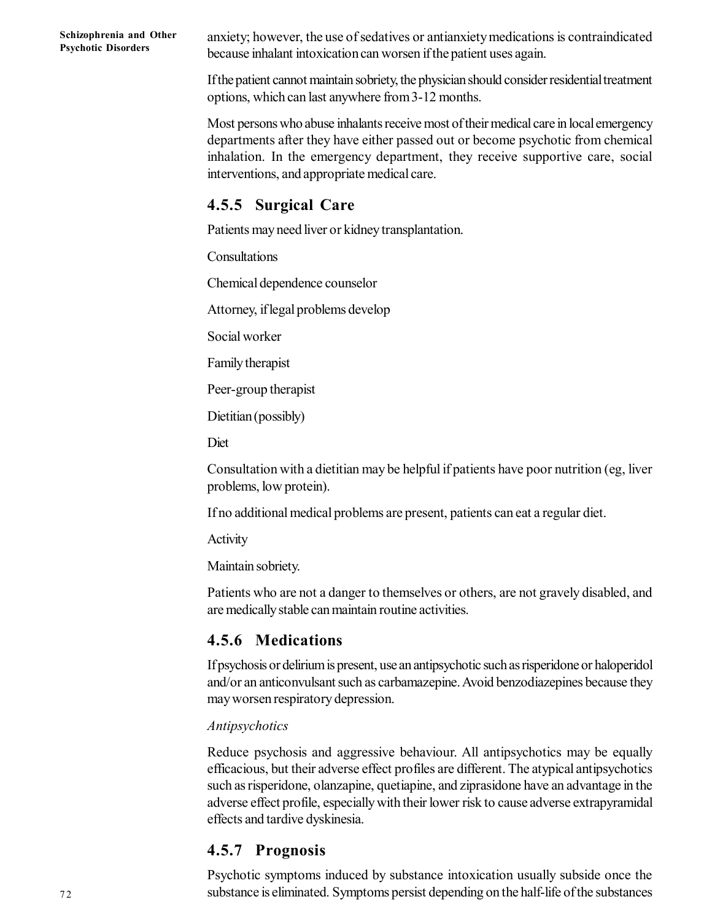**Schizophrenia and Other Psychotic Disorders**

anxiety; however, the use of sedatives or antianxiety medications is contraindicated because inhalant intoxication can worsen if the patient uses again.

If the patient cannot maintain sobriety, the physician should consider residential treatment options, which can last anywhere from 3-12 months.

Most persons who abuse inhalants receive most of their medical care in local emergency departments after they have either passed out or become psychotic from chemical inhalation. In the emergency department, they receive supportive care, social interventions, and appropriate medical care.

#### **4.5.5 Surgical Care**

Patients may need liver or kidney transplantation.

Consultations

Chemical dependence counselor

Attorney, if legal problems develop

Social worker

Family therapist

Peer-group therapist

Dietitian (possibly)

Diet

Consultation with a dietitian may be helpful if patients have poor nutrition (eg, liver problems, low protein).

If no additional medical problems are present, patients can eat a regular diet.

**Activity** 

Maintain sobriety.

Patients who are not a danger to themselves or others, are not gravely disabled, and are medically stable can maintain routine activities.

#### **4.5.6 Medications**

If psychosis or delirium is present, use an antipsychotic such as risperidone or haloperidol and/or an anticonvulsant such as carbamazepine. Avoid benzodiazepines because they may worsen respiratory depression.

#### *Antipsychotics*

Reduce psychosis and aggressive behaviour. All antipsychotics may be equally efficacious, but their adverse effect profiles are different. The atypical antipsychotics such as risperidone, olanzapine, quetiapine, and ziprasidone have an advantage in the adverse effect profile, especially with their lower risk to cause adverse extrapyramidal effects and tardive dyskinesia.

#### **4.5.7 Prognosis**

Psychotic symptoms induced by substance intoxication usually subside once the substance is eliminated. Symptoms persist depending on the half-life of the substances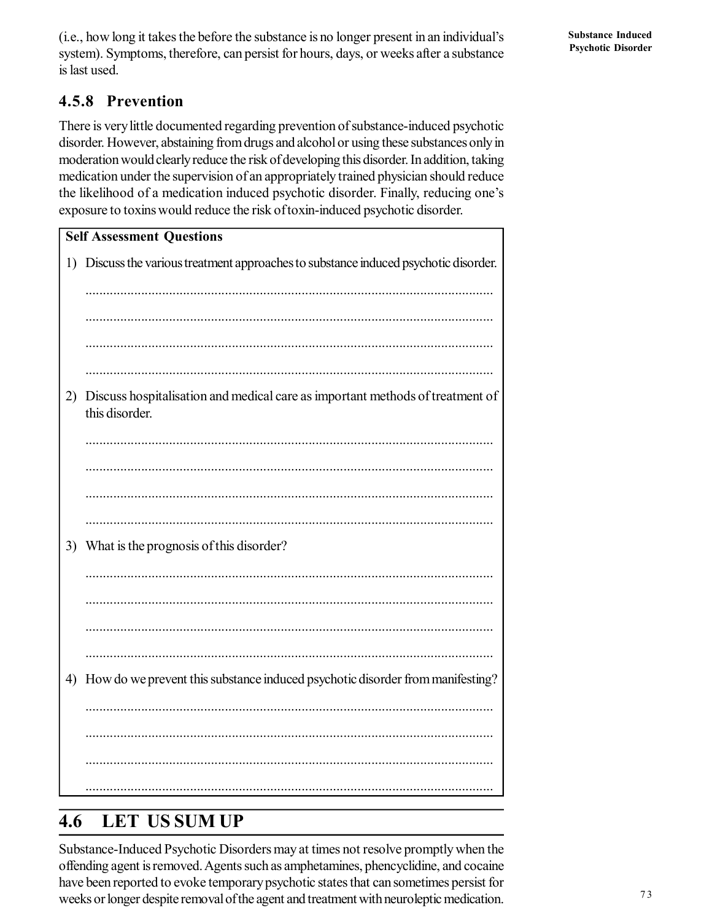(i.e., how long it takes the before the substance is no longer present in an individual's system). Symptoms, therefore, can persist for hours, days, or weeks after a substance is last used.

## **4.5.8 Prevention**

There is very little documented regarding prevention of substance-induced psychotic disorder. However, abstaining from drugs and alcohol or using these substances only in moderation would clearly reduce the risk of developing this disorder. In addition, taking medication under the supervision of an appropriately trained physician should reduce the likelihood of a medication induced psychotic disorder. Finally, reducing one's exposure to toxins would reduce the risk of toxin-induced psychotic disorder.

### **Self Assessment Questions**

1) Discuss the various treatment approaches to substance induced psychotic disorder. ..................................................................................................................... ..................................................................................................................... ..................................................................................................................... ..................................................................................................................... 2) Discuss hospitalisation and medical care as important methods of treatment of this disorder. ..................................................................................................................... ..................................................................................................................... ..................................................................................................................... ..................................................................................................................... 3) What is the prognosis of this disorder? ..................................................................................................................... ..................................................................................................................... ..................................................................................................................... 4) How do we prevent this substance induced psychotic disorder from manifesting? ..................................................................................................................... ..................................................................................................................... ..................................................................................................................... .....................................................................................................................

# **4.6 LET US SUM UP**

Substance-Induced Psychotic Disorders may at times not resolve promptly when the offending agent is removed. Agents such as amphetamines, phencyclidine, and cocaine have been reported to evoke temporary psychotic states that can sometimes persist for weeks or longer despite removal of the agent and treatment with neuroleptic medication.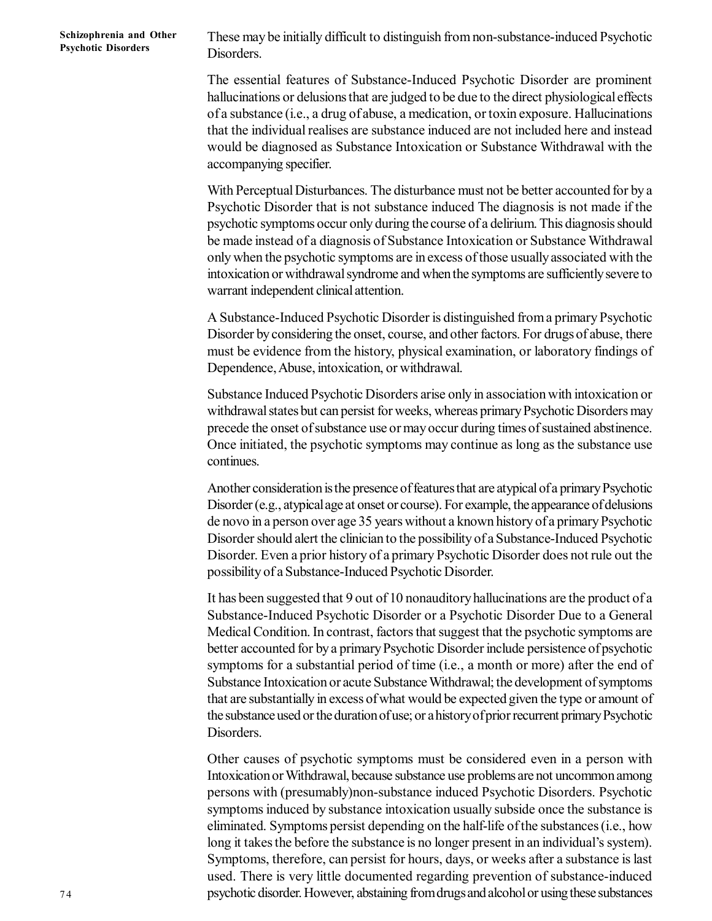**Schizophrenia and Other Psychotic Disorders**

These may be initially difficult to distinguish from non-substance-induced Psychotic Disorders.

The essential features of Substance-Induced Psychotic Disorder are prominent hallucinations or delusions that are judged to be due to the direct physiological effects of a substance (i.e., a drug of abuse, a medication, or toxin exposure. Hallucinations that the individual realises are substance induced are not included here and instead would be diagnosed as Substance Intoxication or Substance Withdrawal with the accompanying specifier.

With Perceptual Disturbances. The disturbance must not be better accounted for by a Psychotic Disorder that is not substance induced The diagnosis is not made if the psychotic symptoms occur only during the course of a delirium. This diagnosis should be made instead of a diagnosis of Substance Intoxication or Substance Withdrawal only when the psychotic symptoms are in excess of those usually associated with the intoxication or withdrawal syndrome and when the symptoms are sufficiently severe to warrant independent clinical attention.

A Substance-Induced Psychotic Disorder is distinguished from a primary Psychotic Disorder by considering the onset, course, and other factors. For drugs of abuse, there must be evidence from the history, physical examination, or laboratory findings of Dependence, Abuse, intoxication, or withdrawal.

Substance Induced Psychotic Disorders arise only in association with intoxication or withdrawal states but can persist for weeks, whereas primary Psychotic Disorders may precede the onset of substance use or may occur during times of sustained abstinence. Once initiated, the psychotic symptoms may continue as long as the substance use continues.

Another consideration is the presence of features that are atypical of a primary Psychotic Disorder (e.g., atypical age at onset or course). For example, the appearance of delusions de novo in a person over age 35 years without a known history of a primary Psychotic Disorder should alert the clinician to the possibility of a Substance-Induced Psychotic Disorder. Even a prior history of a primary Psychotic Disorder does not rule out the possibility of a Substance-Induced Psychotic Disorder.

It has been suggested that 9 out of 10 nonauditory hallucinations are the product of a Substance-Induced Psychotic Disorder or a Psychotic Disorder Due to a General Medical Condition. In contrast, factors that suggest that the psychotic symptoms are better accounted for by a primary Psychotic Disorder include persistence of psychotic symptoms for a substantial period of time (i.e., a month or more) after the end of Substance Intoxication or acute Substance Withdrawal; the development of symptoms that are substantially in excess of what would be expected given the type or amount of the substance used or the duration of use; or a history of prior recurrent primary Psychotic Disorders.

Other causes of psychotic symptoms must be considered even in a person with Intoxication or Withdrawal, because substance use problems are not uncommon among persons with (presumably)non-substance induced Psychotic Disorders. Psychotic symptoms induced by substance intoxication usually subside once the substance is eliminated. Symptoms persist depending on the half-life of the substances (i.e., how long it takes the before the substance is no longer present in an individual's system). Symptoms, therefore, can persist for hours, days, or weeks after a substance is last used. There is very little documented regarding prevention of substance-induced psychotic disorder. However, abstaining from drugs and alcohol or using these substances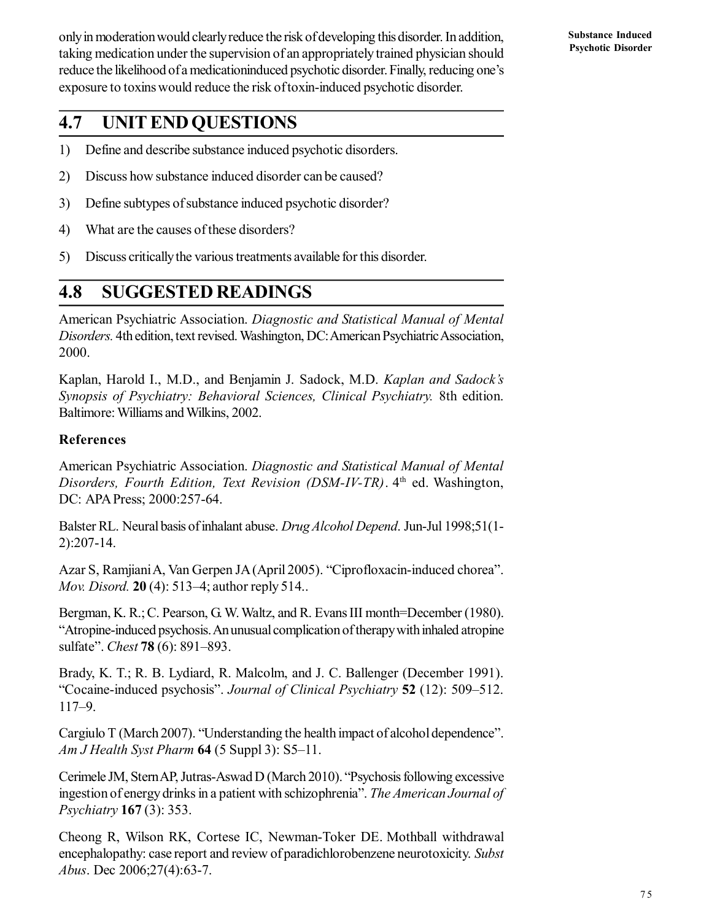7 5

only in moderation would clearly reduce the risk of developing this disorder. In addition, taking medication under the supervision of an appropriately trained physician should reduce the likelihood of a medicationinduced psychotic disorder. Finally, reducing one's exposure to toxins would reduce the risk of toxin-induced psychotic disorder.

## **4.7 UNIT END QUESTIONS**

- 1) Define and describe substance induced psychotic disorders.
- 2) Discuss how substance induced disorder can be caused?
- 3) Define subtypes of substance induced psychotic disorder?
- 4) What are the causes of these disorders?
- 5) Discuss critically the various treatments available for this disorder.

## **4.8 SUGGESTED READINGS**

American Psychiatric Association. *Diagnostic and Statistical Manual of Mental Disorders.* 4th edition, text revised. Washington, DC: American Psychiatric Association, 2000.

Kaplan, Harold I., M.D., and Benjamin J. Sadock, M.D. *Kaplan and Sadock's Synopsis of Psychiatry: Behavioral Sciences, Clinical Psychiatry.* 8th edition. Baltimore: Williams and Wilkins, 2002.

#### **References**

American Psychiatric Association. *Diagnostic and Statistical Manual of Mental Disorders, Fourth Edition, Text Revision (DSM-IV-TR)*. 4<sup>th</sup> ed. Washington, DC: APA Press; 2000:257-64.

Balster RL. Neural basis of inhalant abuse. *Drug Alcohol Depend*. Jun-Jul 1998;51(1- 2):207-14.

Azar S, Ramjiani A, Van Gerpen JA (April 2005). "Ciprofloxacin-induced chorea". *Mov. Disord.* **20** (4): 513–4; author reply 514..

Bergman, K. R.; C. Pearson, G. W. Waltz, and R. Evans III month=December (1980). "Atropine-induced psychosis. An unusual complication of therapy with inhaled atropine sulfate". *Chest* **78** (6): 891–893.

Brady, K. T.; R. B. Lydiard, R. Malcolm, and J. C. Ballenger (December 1991). "Cocaine-induced psychosis". *Journal of Clinical Psychiatry* **52** (12): 509–512. 117–9.

Cargiulo T (March 2007). "Understanding the health impact of alcohol dependence". *Am J Health Syst Pharm* **64** (5 Suppl 3): S5–11.

Cerimele JM, Stern AP, Jutras-Aswad D (March 2010). "Psychosis following excessive ingestion of energy drinks in a patient with schizophrenia". *The American Journal of Psychiatry* **167** (3): 353.

Cheong R, Wilson RK, Cortese IC, Newman-Toker DE. Mothball withdrawal encephalopathy: case report and review of paradichlorobenzene neurotoxicity. *Subst Abus*. Dec 2006;27(4):63-7.